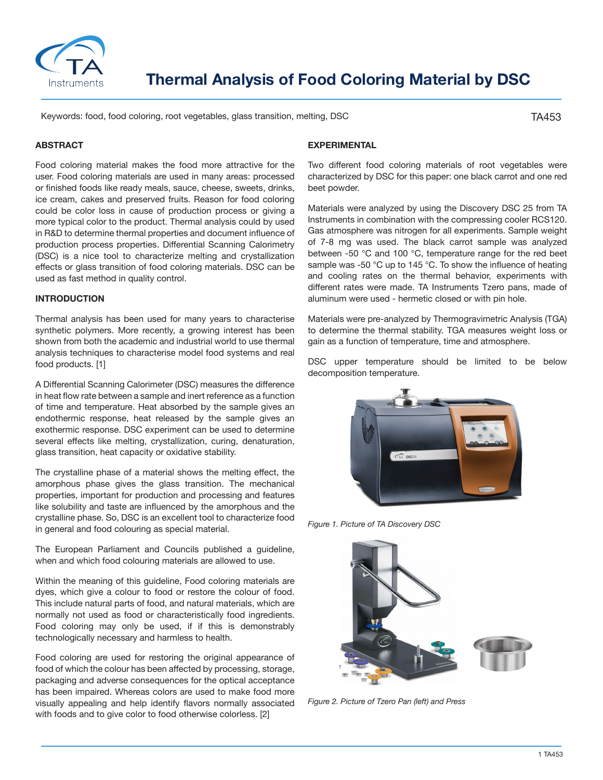

# **Thermal Analysis of Food Coloring Material by DSC**

Keywords: food, food coloring, root vegetables, glass transition, melting, DSC

TA453

## **ABSTRACT**

Food coloring material makes the food more attractive for the user. Food coloring materials are used in many areas: processed or finished foods like ready meals, sauce, cheese, sweets, drinks, ice cream, cakes and preserved fruits. Reason for food coloring could be color loss in cause of production process or giving a more typical color to the product. Thermal analysis could by used in R&D to determine thermal properties and document influence of production process properties. Differential Scanning Calorimetry (DSC) is a nice tool to characterize melting and crystallization effects or glass transition of food coloring materials. DSC can be used as fast method in quality control.

### **INTRODUCTION**

Thermal analysis has been used for many years to characterise synthetic polymers. More recently, a growing interest has been shown from both the academic and industrial world to use thermal analysis techniques to characterise model food systems and real food products. [1]

A Differential Scanning Calorimeter (DSC) measures the difference in heat flow rate between a sample and inert reference as a function of time and temperature. Heat absorbed by the sample gives an endothermic response, heat released by the sample gives an exothermic response. DSC experiment can be used to determine several effects like melting, crystallization, curing, denaturation, glass transition, heat capacity or oxidative stability.

The crystalline phase of a material shows the melting effect, the amorphous phase gives the glass transition. The mechanical properties, important for production and processing and features like solubility and taste are influenced by the amorphous and the crystalline phase. So, DSC is an excellent tool to characterize food in general and food colouring as special material.

The European Parliament and Councils published a guideline, when and which food colouring materials are allowed to use.

Within the meaning of this guideline, Food coloring materials are dyes, which give a colour to food or restore the colour of food. This include natural parts of food, and natural materials, which are normally not used as food or characteristically food ingredients. Food coloring may only be used, if if this is demonstrably technologically necessary and harmless to health.

Food coloring are used for restoring the original appearance of food of which the colour has been affected by processing, storage, packaging and adverse consequences for the optical acceptance has been impaired. Whereas colors are used to make food more visually appealing and help identify flavors normally associated with foods and to give color to food otherwise colorless. [2]

## **EXPERIMENTAL**

Two different food coloring materials of root vegetables were characterized by DSC for this paper: one black carrot and one red beet powder.

Materials were analyzed by using the Discovery DSC 25 from TA Instruments in combination with the compressing cooler RCS120. Gas atmosphere was nitrogen for all experiments. Sample weight of 7-8 mg was used. The black carrot sample was analyzed between -50 °C and 100 °C, temperature range for the red beet sample was -50 °C up to 145 °C. To show the influence of heating and cooling rates on the thermal behavior, experiments with different rates were made. TA Instruments Tzero pans, made of aluminum were used - hermetic closed or with pin hole.

Materials were pre-analyzed by Thermogravimetric Analysis (TGA) to determine the thermal stability. TGA measures weight loss or gain as a function of temperature, time and atmosphere.

DSC upper temperature should be limited to be below decomposition temperature.



*Figure 1. Picture of TA Discovery DSC*



*Figure 2. Picture of Tzero Pan (left) and Press*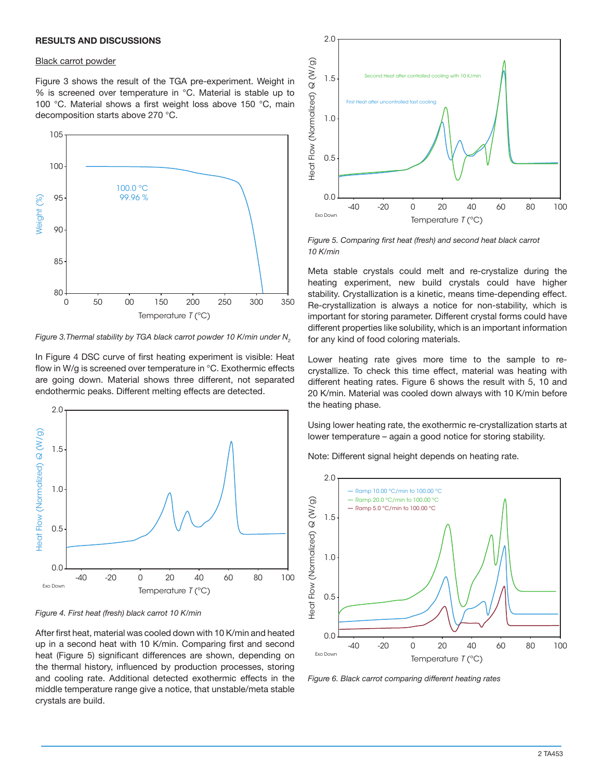## **RESULTS AND DISCUSSIONS**

#### Black carrot powder

Figure 3 shows the result of the TGA pre-experiment. Weight in % is screened over temperature in °C. Material is stable up to 100 °C. Material shows a first weight loss above 150 °C, main decomposition starts above 270 °C.



*Figure 3. Thermal stability by TGA black carrot powder 10 K/min under N<sub>2</sub>* 

In Figure 4 DSC curve of first heating experiment is visible: Heat flow in W/g is screened over temperature in °C. Exothermic effects are going down. Material shows three different, not separated endothermic peaks. Different melting effects are detected.



*Figure 4. First heat (fresh) black carrot 10 K/min*

After first heat, material was cooled down with 10 K/min and heated up in a second heat with 10 K/min. Comparing first and second heat (Figure 5) significant differences are shown, depending on the thermal history, influenced by production processes, storing and cooling rate. Additional detected exothermic effects in the middle temperature range give a notice, that unstable/meta stable crystals are build.



*Figure 5. Comparing first heat (fresh) and second heat black carrot 10 K/min*

Meta stable crystals could melt and re-crystalize during the heating experiment, new build crystals could have higher stability. Crystallization is a kinetic, means time-depending effect. Re-crystallization is always a notice for non-stability, which is important for storing parameter. Different crystal forms could have different properties like solubility, which is an important information for any kind of food coloring materials.

Lower heating rate gives more time to the sample to recrystallize. To check this time effect, material was heating with different heating rates. Figure 6 shows the result with 5, 10 and 20 K/min. Material was cooled down always with 10 K/min before the heating phase.

Using lower heating rate, the exothermic re-crystallization starts at lower temperature – again a good notice for storing stability.

Note: Different signal height depends on heating rate.



*Figure 6. Black carrot comparing different heating rates*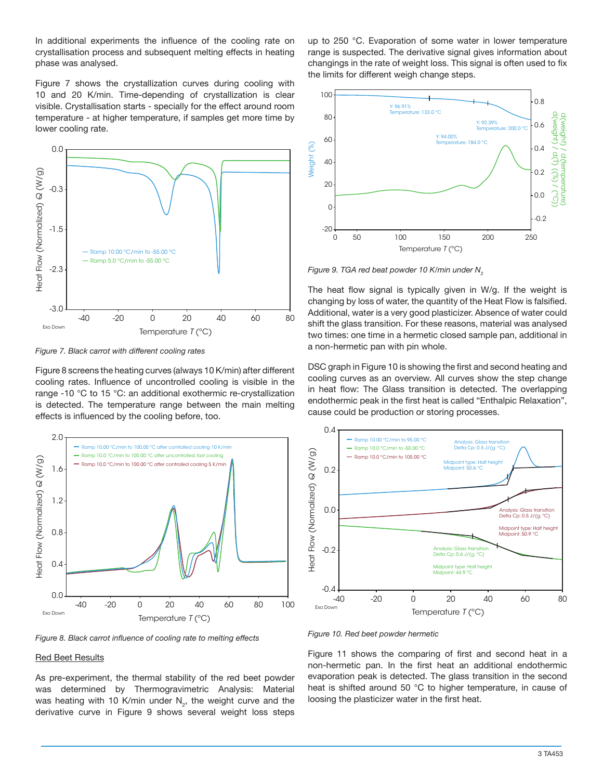In additional experiments the influence of the cooling rate on crystallisation process and subsequent melting effects in heating phase was analysed.

Figure 7 shows the crystallization curves during cooling with 10 and 20 K/min. Time-depending of crystallization is clear visible. Crystallisation starts - specially for the effect around room temperature - at higher temperature, if samples get more time by lower cooling rate.



*Figure 7. Black carrot with different cooling rates*

Figure 8 screens the heating curves (always 10 K/min) after different cooling rates. Influence of uncontrolled cooling is visible in the range -10 °C to 15 °C: an additional exothermic re-crystallization is detected. The temperature range between the main melting effects is influenced by the cooling before, too.



*Figure 8. Black carrot influence of cooling rate to melting effects*

#### Red Beet Results

As pre-experiment, the thermal stability of the red beet powder was determined by Thermogravimetric Analysis: Material was heating with 10 K/min under  $N_{2}$ , the weight curve and the derivative curve in Figure 9 shows several weight loss steps

up to 250 °C. Evaporation of some water in lower temperature range is suspected. The derivative signal gives information about changings in the rate of weight loss. This signal is often used to fix the limits for different weigh change steps.



*Figure 9. TGA red beat powder 10 K/min under N<sub>2</sub>* 

The heat flow signal is typically given in W/g. If the weight is changing by loss of water, the quantity of the Heat Flow is falsified. Additional, water is a very good plasticizer. Absence of water could shift the glass transition. For these reasons, material was analysed two times: one time in a hermetic closed sample pan, additional in a non-hermetic pan with pin whole.

DSC graph in Figure 10 is showing the first and second heating and cooling curves as an overview. All curves show the step change in heat flow: The Glass transition is detected. The overlapping endothermic peak in the first heat is called "Enthalpic Relaxation", cause could be production or storing processes.



*Figure 10. Red beet powder hermetic*

Figure 11 shows the comparing of first and second heat in a non-hermetic pan. In the first heat an additional endothermic evaporation peak is detected. The glass transition in the second heat is shifted around 50 °C to higher temperature, in cause of loosing the plasticizer water in the first heat.